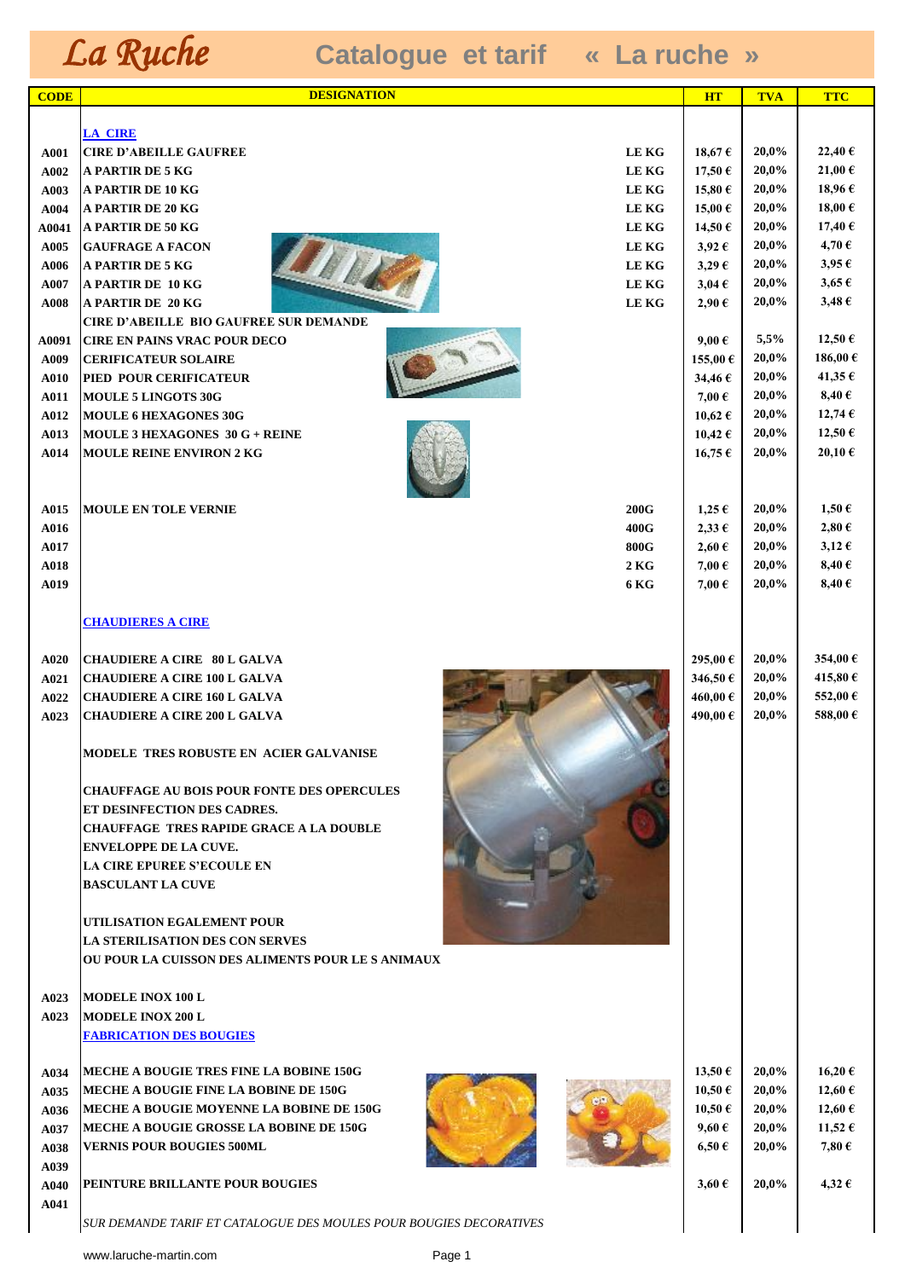| <b>CODE</b>   | <b>DESIGNATION</b>                                                            | <b>HT</b>                | <b>TVA</b>     | <b>TTC</b>                 |
|---------------|-------------------------------------------------------------------------------|--------------------------|----------------|----------------------------|
|               |                                                                               |                          |                |                            |
|               | <b>LA CIRE</b>                                                                |                          |                |                            |
| A001          | <b>LEKG</b><br><b>CIRE D'ABEILLE GAUFREE</b>                                  | 18,67€                   | 20,0%          | 22,40€                     |
| A002          | <b>A PARTIR DE 5 KG</b><br><b>LEKG</b>                                        | 17,50€                   | 20,0%          | 21,00 €                    |
| A003<br>A004  | A PARTIR DE 10 KG<br>LE KG<br><b>A PARTIR DE 20 KG</b><br><b>LEKG</b>         | 15,80€<br>15,00€         | 20,0%<br>20,0% | 18,96€<br>18,00€           |
| A0041         | <b>LEKG</b><br><b>A PARTIR DE 50 KG</b>                                       | 14,50 €                  | 20,0%          | 17,40 €                    |
| A005          | <b>LEKG</b><br><b>GAUFRAGE A FACON</b>                                        | $3,92 \in$               | 20,0%          | 4,70€                      |
| A006          | <b>A PARTIR DE 5 KG</b><br><b>LEKG</b>                                        | $3,29 \in$               | 20,0%          | $3,95 \in$                 |
| A007          | <b>A PARTIR DE 10 KG</b><br><b>LEKG</b>                                       | $3,04 \in$               | 20,0%          | $3,65 \in$                 |
| A008          | <b>LEKG</b><br><b>A PARTIR DE 20 KG</b>                                       | $2,90 \in$               | 20,0%          | $3,48 \in$                 |
|               | <b>CIRE D'ABEILLE BIO GAUFREE SUR DEMANDE</b>                                 |                          | 5,5%           | 12,50 €                    |
| A0091<br>A009 | <b>CIRE EN PAINS VRAC POUR DECO</b><br><b>CERIFICATEUR SOLAIRE</b>            | $9,00 \in$<br>155,00€    | 20,0%          | 186,00€                    |
| A010          | PIED POUR CERIFICATEUR                                                        | 34,46€                   | 20,0%          | 41,35€                     |
| A011          | <b>MOULE 5 LINGOTS 30G</b>                                                    | 7,00 €                   | 20,0%          | $8,40 \in$                 |
| A012          | <b>MOULE 6 HEXAGONES 30G</b>                                                  | 10,62 €                  | 20,0%          | 12,74€                     |
| A013          | <b>MOULE 3 HEXAGONES 30 G + REINE</b>                                         | 10,42 €                  | 20,0%          | 12,50 €                    |
| A014          | <b>MOULE REINE ENVIRON 2 KG</b>                                               | 16,75€                   | 20,0%          | 20,10€                     |
|               |                                                                               |                          |                |                            |
|               |                                                                               |                          |                |                            |
| A015<br>A016  | <b>MOULE EN TOLE VERNIE</b><br><b>200G</b><br>400G                            | $1,25 \in$<br>$2,33 \in$ | 20,0%<br>20,0% | $1,50 \in$<br>$2,80 \in$   |
| A017          | <b>800G</b>                                                                   | $2,60 \in$               | 20,0%          | $3,12 \in$                 |
| A018          | 2KG                                                                           | 7,00 €                   | 20,0%          | 8,40 $\epsilon$            |
| A019          | 6 KG                                                                          | 7,00€                    | 20,0%          | 8,40 $\epsilon$            |
|               |                                                                               |                          |                |                            |
|               | <b>CHAUDIERES A CIRE</b>                                                      |                          |                |                            |
|               | <b>CHAUDIERE A CIRE 80 L GALVA</b>                                            | 295,00€                  | 20,0%          | 354,00 €                   |
| A020<br>A021  | <b>CHAUDIERE A CIRE 100 L GALVA</b>                                           | 346,50 €                 | 20,0%          | 415,80€                    |
| A022          | <b>CHAUDIERE A CIRE 160 L GALVA</b>                                           | 460,00€                  | 20,0%          | 552,00€                    |
| A023          | <b>CHAUDIERE A CIRE 200 L GALVA</b>                                           | 490,00€                  | 20,0%          | 588,00€                    |
|               |                                                                               |                          |                |                            |
|               | MODELE TRES ROBUSTE EN ACIER GALVANISE                                        |                          |                |                            |
|               |                                                                               |                          |                |                            |
|               | <b>CHAUFFAGE AU BOIS POUR FONTE DES OPERCULES</b>                             |                          |                |                            |
|               | ET DESINFECTION DES CADRES.<br><b>CHAUFFAGE TRES RAPIDE GRACE A LA DOUBLE</b> |                          |                |                            |
|               | <b>ENVELOPPE DE LA CUVE.</b>                                                  |                          |                |                            |
|               | <b>LA CIRE EPUREE S'ECOULE EN</b>                                             |                          |                |                            |
|               | <b>BASCULANT LA CUVE</b>                                                      |                          |                |                            |
|               |                                                                               |                          |                |                            |
|               | UTILISATION EGALEMENT POUR                                                    |                          |                |                            |
|               | <b>LA STERILISATION DES CON SERVES</b>                                        |                          |                |                            |
|               | OU POUR LA CUISSON DES ALIMENTS POUR LE S'ANIMAUX                             |                          |                |                            |
| A023          | <b>MODELE INOX 100 L</b>                                                      |                          |                |                            |
| A023          | <b>MODELE INOX 200 L</b>                                                      |                          |                |                            |
|               | <b>FABRICATION DES BOUGIES</b>                                                |                          |                |                            |
|               |                                                                               |                          |                |                            |
| A034          | <b>MECHE A BOUGIE TRES FINE LA BOBINE 150G</b>                                | 13,50 €                  | 20,0%          | 16,20€                     |
| A035          | MECHE A BOUGIE FINE LA BOBINE DE 150G                                         | 10,50€                   | 20,0%          | 12,60 €                    |
| A036          | MECHE A BOUGIE MOYENNE LA BOBINE DE 150G                                      | 10,50€                   | 20,0%          | 12,60 €                    |
| A037          | MECHE A BOUGIE GROSSE LA BOBINE DE 150G<br><b>VERNIS POUR BOUGIES 500ML</b>   | $9,60 \in$<br>$6,50 \in$ | 20,0%<br>20,0% | 11,52 €<br>7,80 $\epsilon$ |
| A038<br>A039  |                                                                               |                          |                |                            |
| A040          | PEINTURE BRILLANTE POUR BOUGIES                                               | $3,60 \in$               | 20,0%          | 4,32 €                     |
| A041          |                                                                               |                          |                |                            |
|               | SUR DEMANDE TARIF ET CATALOGUE DES MOULES POUR BOUGIES DECORATIVES            |                          |                |                            |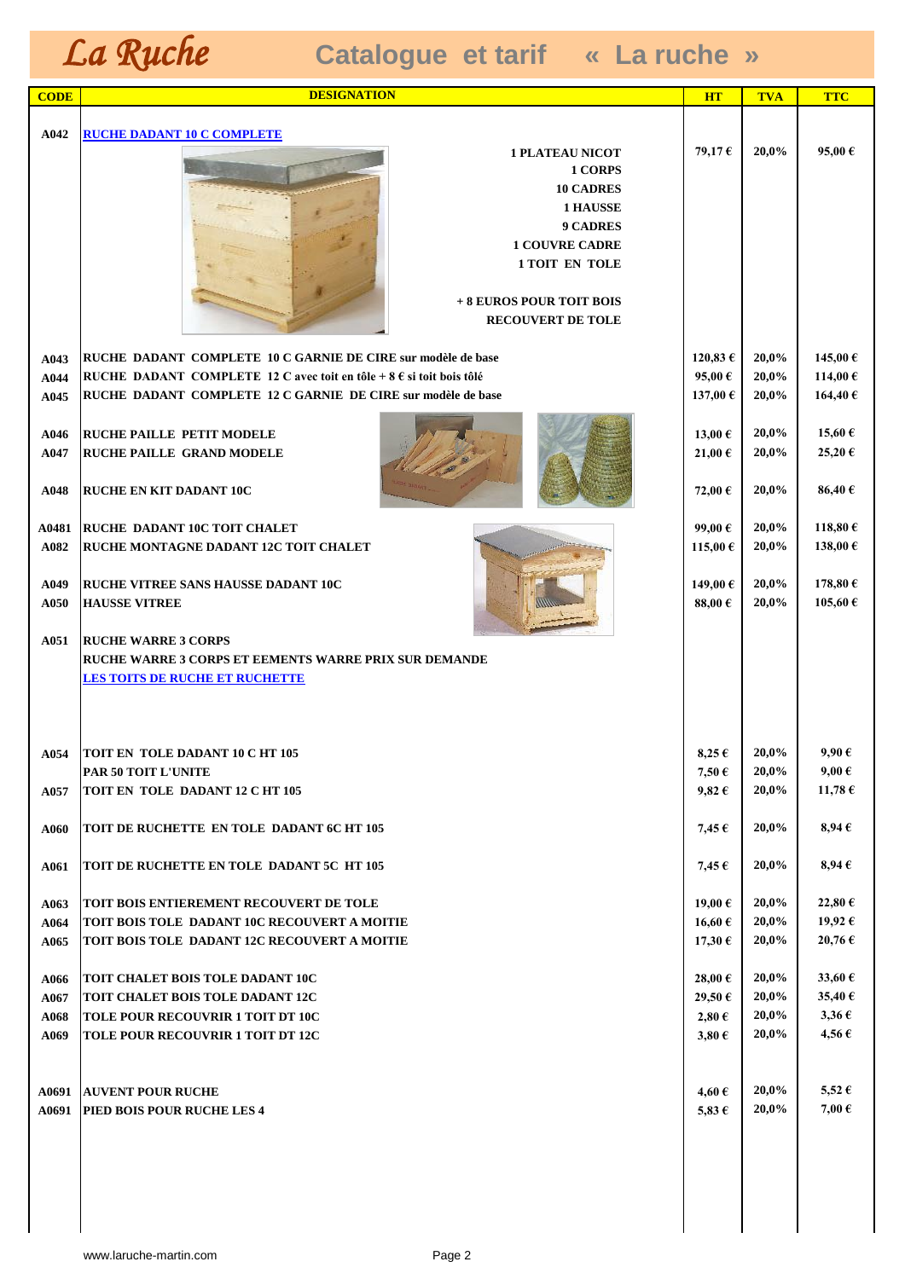| A042<br><b>RUCHE DADANT 10 C COMPLETE</b><br>79,17€<br>20,0%<br>95,00 €<br><b>1 PLATEAU NICOT</b><br>1 CORPS<br><b>10 CADRES</b><br><b>1 HAUSSE</b><br>9 CADRES<br><b>1 COUVRE CADRE</b><br><b>1 TOIT EN TOLE</b><br>+ 8 EUROS POUR TOIT BOIS<br><b>RECOUVERT DE TOLE</b><br>120,83 €<br>20,0%<br>145,00 €<br>RUCHE DADANT COMPLETE 10 C GARNIE DE CIRE sur modèle de base<br>A043<br>20,0%<br>114,00€<br>RUCHE DADANT COMPLETE 12 C avec toit en tôle + $8 \text{ } \epsilon$ si toit bois tôlé<br>95,00 €<br>A044<br>164,40€<br>RUCHE DADANT COMPLETE 12 C GARNIE DE CIRE sur modèle de base<br>137,00 €<br>20,0%<br>A045<br>20,0%<br>15,60€<br><b>RUCHE PAILLE PETIT MODELE</b><br>13,00 €<br>A046<br>20,0%<br>25,20€<br><b>RUCHE PAILLE GRAND MODELE</b><br>21,00 €<br>A047<br>20,0%<br>86,40€<br><b>RUCHE EN KIT DADANT 10C</b><br>72,00 €<br>A048<br>20,0%<br>118,80€<br><b>RUCHE DADANT 10C TOIT CHALET</b><br>99,00€<br>A0481<br>138,00€<br>20,0%<br><b>RUCHE MONTAGNE DADANT 12C TOIT CHALET</b><br>115,00 €<br>A082<br>178,80€<br>20,0%<br><b>RUCHE VITREE SANS HAUSSE DADANT 10C</b><br>149,00€<br>A049<br>20,0%<br>105,60 €<br>88,00 $\epsilon$<br>A050<br><b>HAUSSE VITREE</b><br>A051<br><b>RUCHE WARRE 3 CORPS</b><br><b>RUCHE WARRE 3 CORPS ET EEMENTS WARRE PRIX SUR DEMANDE</b><br><b>LES TOITS DE RUCHE ET RUCHETTE</b><br>20,0%<br>$9,90 \in$<br><b>A054   TOIT EN TOLE DADANT 10 C HT 105</b><br>$8,25 \in$<br>20,0%<br>$9,00 \in$<br>7,50€<br><b>PAR 50 TOIT L'UNITE</b><br>11,78 €<br>20,0%<br>TOIT EN TOLE DADANT 12 C HT 105<br>$9,82 \in$<br>A057<br>20,0%<br>$8,94 \in$<br>TOIT DE RUCHETTE EN TOLE DADANT 6C HT 105<br>7,45 $\epsilon$<br><b>A060</b><br>20,0%<br>$8,94 \in$<br>TOIT DE RUCHETTE EN TOLE DADANT 5C HT 105<br><b>A061</b><br>$7,45 \in$<br><b>TOIT BOIS ENTIEREMENT RECOUVERT DE TOLE</b><br>19,00 €<br>20,0%<br>22,80 € |
|---------------------------------------------------------------------------------------------------------------------------------------------------------------------------------------------------------------------------------------------------------------------------------------------------------------------------------------------------------------------------------------------------------------------------------------------------------------------------------------------------------------------------------------------------------------------------------------------------------------------------------------------------------------------------------------------------------------------------------------------------------------------------------------------------------------------------------------------------------------------------------------------------------------------------------------------------------------------------------------------------------------------------------------------------------------------------------------------------------------------------------------------------------------------------------------------------------------------------------------------------------------------------------------------------------------------------------------------------------------------------------------------------------------------------------------------------------------------------------------------------------------------------------------------------------------------------------------------------------------------------------------------------------------------------------------------------------------------------------------------------------------------------------------------------------------------------------------------------------------------|
|                                                                                                                                                                                                                                                                                                                                                                                                                                                                                                                                                                                                                                                                                                                                                                                                                                                                                                                                                                                                                                                                                                                                                                                                                                                                                                                                                                                                                                                                                                                                                                                                                                                                                                                                                                                                                                                                     |
|                                                                                                                                                                                                                                                                                                                                                                                                                                                                                                                                                                                                                                                                                                                                                                                                                                                                                                                                                                                                                                                                                                                                                                                                                                                                                                                                                                                                                                                                                                                                                                                                                                                                                                                                                                                                                                                                     |
|                                                                                                                                                                                                                                                                                                                                                                                                                                                                                                                                                                                                                                                                                                                                                                                                                                                                                                                                                                                                                                                                                                                                                                                                                                                                                                                                                                                                                                                                                                                                                                                                                                                                                                                                                                                                                                                                     |
|                                                                                                                                                                                                                                                                                                                                                                                                                                                                                                                                                                                                                                                                                                                                                                                                                                                                                                                                                                                                                                                                                                                                                                                                                                                                                                                                                                                                                                                                                                                                                                                                                                                                                                                                                                                                                                                                     |
|                                                                                                                                                                                                                                                                                                                                                                                                                                                                                                                                                                                                                                                                                                                                                                                                                                                                                                                                                                                                                                                                                                                                                                                                                                                                                                                                                                                                                                                                                                                                                                                                                                                                                                                                                                                                                                                                     |
|                                                                                                                                                                                                                                                                                                                                                                                                                                                                                                                                                                                                                                                                                                                                                                                                                                                                                                                                                                                                                                                                                                                                                                                                                                                                                                                                                                                                                                                                                                                                                                                                                                                                                                                                                                                                                                                                     |
|                                                                                                                                                                                                                                                                                                                                                                                                                                                                                                                                                                                                                                                                                                                                                                                                                                                                                                                                                                                                                                                                                                                                                                                                                                                                                                                                                                                                                                                                                                                                                                                                                                                                                                                                                                                                                                                                     |
|                                                                                                                                                                                                                                                                                                                                                                                                                                                                                                                                                                                                                                                                                                                                                                                                                                                                                                                                                                                                                                                                                                                                                                                                                                                                                                                                                                                                                                                                                                                                                                                                                                                                                                                                                                                                                                                                     |
|                                                                                                                                                                                                                                                                                                                                                                                                                                                                                                                                                                                                                                                                                                                                                                                                                                                                                                                                                                                                                                                                                                                                                                                                                                                                                                                                                                                                                                                                                                                                                                                                                                                                                                                                                                                                                                                                     |
|                                                                                                                                                                                                                                                                                                                                                                                                                                                                                                                                                                                                                                                                                                                                                                                                                                                                                                                                                                                                                                                                                                                                                                                                                                                                                                                                                                                                                                                                                                                                                                                                                                                                                                                                                                                                                                                                     |
|                                                                                                                                                                                                                                                                                                                                                                                                                                                                                                                                                                                                                                                                                                                                                                                                                                                                                                                                                                                                                                                                                                                                                                                                                                                                                                                                                                                                                                                                                                                                                                                                                                                                                                                                                                                                                                                                     |
|                                                                                                                                                                                                                                                                                                                                                                                                                                                                                                                                                                                                                                                                                                                                                                                                                                                                                                                                                                                                                                                                                                                                                                                                                                                                                                                                                                                                                                                                                                                                                                                                                                                                                                                                                                                                                                                                     |
|                                                                                                                                                                                                                                                                                                                                                                                                                                                                                                                                                                                                                                                                                                                                                                                                                                                                                                                                                                                                                                                                                                                                                                                                                                                                                                                                                                                                                                                                                                                                                                                                                                                                                                                                                                                                                                                                     |
|                                                                                                                                                                                                                                                                                                                                                                                                                                                                                                                                                                                                                                                                                                                                                                                                                                                                                                                                                                                                                                                                                                                                                                                                                                                                                                                                                                                                                                                                                                                                                                                                                                                                                                                                                                                                                                                                     |
|                                                                                                                                                                                                                                                                                                                                                                                                                                                                                                                                                                                                                                                                                                                                                                                                                                                                                                                                                                                                                                                                                                                                                                                                                                                                                                                                                                                                                                                                                                                                                                                                                                                                                                                                                                                                                                                                     |
|                                                                                                                                                                                                                                                                                                                                                                                                                                                                                                                                                                                                                                                                                                                                                                                                                                                                                                                                                                                                                                                                                                                                                                                                                                                                                                                                                                                                                                                                                                                                                                                                                                                                                                                                                                                                                                                                     |
|                                                                                                                                                                                                                                                                                                                                                                                                                                                                                                                                                                                                                                                                                                                                                                                                                                                                                                                                                                                                                                                                                                                                                                                                                                                                                                                                                                                                                                                                                                                                                                                                                                                                                                                                                                                                                                                                     |
|                                                                                                                                                                                                                                                                                                                                                                                                                                                                                                                                                                                                                                                                                                                                                                                                                                                                                                                                                                                                                                                                                                                                                                                                                                                                                                                                                                                                                                                                                                                                                                                                                                                                                                                                                                                                                                                                     |
|                                                                                                                                                                                                                                                                                                                                                                                                                                                                                                                                                                                                                                                                                                                                                                                                                                                                                                                                                                                                                                                                                                                                                                                                                                                                                                                                                                                                                                                                                                                                                                                                                                                                                                                                                                                                                                                                     |
|                                                                                                                                                                                                                                                                                                                                                                                                                                                                                                                                                                                                                                                                                                                                                                                                                                                                                                                                                                                                                                                                                                                                                                                                                                                                                                                                                                                                                                                                                                                                                                                                                                                                                                                                                                                                                                                                     |
|                                                                                                                                                                                                                                                                                                                                                                                                                                                                                                                                                                                                                                                                                                                                                                                                                                                                                                                                                                                                                                                                                                                                                                                                                                                                                                                                                                                                                                                                                                                                                                                                                                                                                                                                                                                                                                                                     |
|                                                                                                                                                                                                                                                                                                                                                                                                                                                                                                                                                                                                                                                                                                                                                                                                                                                                                                                                                                                                                                                                                                                                                                                                                                                                                                                                                                                                                                                                                                                                                                                                                                                                                                                                                                                                                                                                     |
|                                                                                                                                                                                                                                                                                                                                                                                                                                                                                                                                                                                                                                                                                                                                                                                                                                                                                                                                                                                                                                                                                                                                                                                                                                                                                                                                                                                                                                                                                                                                                                                                                                                                                                                                                                                                                                                                     |
|                                                                                                                                                                                                                                                                                                                                                                                                                                                                                                                                                                                                                                                                                                                                                                                                                                                                                                                                                                                                                                                                                                                                                                                                                                                                                                                                                                                                                                                                                                                                                                                                                                                                                                                                                                                                                                                                     |
|                                                                                                                                                                                                                                                                                                                                                                                                                                                                                                                                                                                                                                                                                                                                                                                                                                                                                                                                                                                                                                                                                                                                                                                                                                                                                                                                                                                                                                                                                                                                                                                                                                                                                                                                                                                                                                                                     |
|                                                                                                                                                                                                                                                                                                                                                                                                                                                                                                                                                                                                                                                                                                                                                                                                                                                                                                                                                                                                                                                                                                                                                                                                                                                                                                                                                                                                                                                                                                                                                                                                                                                                                                                                                                                                                                                                     |
|                                                                                                                                                                                                                                                                                                                                                                                                                                                                                                                                                                                                                                                                                                                                                                                                                                                                                                                                                                                                                                                                                                                                                                                                                                                                                                                                                                                                                                                                                                                                                                                                                                                                                                                                                                                                                                                                     |
|                                                                                                                                                                                                                                                                                                                                                                                                                                                                                                                                                                                                                                                                                                                                                                                                                                                                                                                                                                                                                                                                                                                                                                                                                                                                                                                                                                                                                                                                                                                                                                                                                                                                                                                                                                                                                                                                     |
|                                                                                                                                                                                                                                                                                                                                                                                                                                                                                                                                                                                                                                                                                                                                                                                                                                                                                                                                                                                                                                                                                                                                                                                                                                                                                                                                                                                                                                                                                                                                                                                                                                                                                                                                                                                                                                                                     |
|                                                                                                                                                                                                                                                                                                                                                                                                                                                                                                                                                                                                                                                                                                                                                                                                                                                                                                                                                                                                                                                                                                                                                                                                                                                                                                                                                                                                                                                                                                                                                                                                                                                                                                                                                                                                                                                                     |
|                                                                                                                                                                                                                                                                                                                                                                                                                                                                                                                                                                                                                                                                                                                                                                                                                                                                                                                                                                                                                                                                                                                                                                                                                                                                                                                                                                                                                                                                                                                                                                                                                                                                                                                                                                                                                                                                     |
|                                                                                                                                                                                                                                                                                                                                                                                                                                                                                                                                                                                                                                                                                                                                                                                                                                                                                                                                                                                                                                                                                                                                                                                                                                                                                                                                                                                                                                                                                                                                                                                                                                                                                                                                                                                                                                                                     |
|                                                                                                                                                                                                                                                                                                                                                                                                                                                                                                                                                                                                                                                                                                                                                                                                                                                                                                                                                                                                                                                                                                                                                                                                                                                                                                                                                                                                                                                                                                                                                                                                                                                                                                                                                                                                                                                                     |
|                                                                                                                                                                                                                                                                                                                                                                                                                                                                                                                                                                                                                                                                                                                                                                                                                                                                                                                                                                                                                                                                                                                                                                                                                                                                                                                                                                                                                                                                                                                                                                                                                                                                                                                                                                                                                                                                     |
|                                                                                                                                                                                                                                                                                                                                                                                                                                                                                                                                                                                                                                                                                                                                                                                                                                                                                                                                                                                                                                                                                                                                                                                                                                                                                                                                                                                                                                                                                                                                                                                                                                                                                                                                                                                                                                                                     |
|                                                                                                                                                                                                                                                                                                                                                                                                                                                                                                                                                                                                                                                                                                                                                                                                                                                                                                                                                                                                                                                                                                                                                                                                                                                                                                                                                                                                                                                                                                                                                                                                                                                                                                                                                                                                                                                                     |
| A063<br>20,0%<br>19,92 €<br>TOIT BOIS TOLE DADANT 10C RECOUVERT A MOITIE<br>$16,60 \in$<br>A064                                                                                                                                                                                                                                                                                                                                                                                                                                                                                                                                                                                                                                                                                                                                                                                                                                                                                                                                                                                                                                                                                                                                                                                                                                                                                                                                                                                                                                                                                                                                                                                                                                                                                                                                                                     |
| 20,76€<br>17,30€<br>20,0%<br>A065<br>TOIT BOIS TOLE DADANT 12C RECOUVERT A MOITIE                                                                                                                                                                                                                                                                                                                                                                                                                                                                                                                                                                                                                                                                                                                                                                                                                                                                                                                                                                                                                                                                                                                                                                                                                                                                                                                                                                                                                                                                                                                                                                                                                                                                                                                                                                                   |
|                                                                                                                                                                                                                                                                                                                                                                                                                                                                                                                                                                                                                                                                                                                                                                                                                                                                                                                                                                                                                                                                                                                                                                                                                                                                                                                                                                                                                                                                                                                                                                                                                                                                                                                                                                                                                                                                     |
| 20,0%<br>33,60 €<br>TOIT CHALET BOIS TOLE DADANT 10C<br>28,00€<br>A066                                                                                                                                                                                                                                                                                                                                                                                                                                                                                                                                                                                                                                                                                                                                                                                                                                                                                                                                                                                                                                                                                                                                                                                                                                                                                                                                                                                                                                                                                                                                                                                                                                                                                                                                                                                              |
| 20,0%<br>35,40 €<br>TOIT CHALET BOIS TOLE DADANT 12C<br>29,50€<br>A067                                                                                                                                                                                                                                                                                                                                                                                                                                                                                                                                                                                                                                                                                                                                                                                                                                                                                                                                                                                                                                                                                                                                                                                                                                                                                                                                                                                                                                                                                                                                                                                                                                                                                                                                                                                              |
| 20,0%<br>$3,36 \in$<br>$2,80 \in$<br>TOLE POUR RECOUVRIR 1 TOIT DT 10C<br>A068                                                                                                                                                                                                                                                                                                                                                                                                                                                                                                                                                                                                                                                                                                                                                                                                                                                                                                                                                                                                                                                                                                                                                                                                                                                                                                                                                                                                                                                                                                                                                                                                                                                                                                                                                                                      |
| 4,56€<br>20,0%<br>TOLE POUR RECOUVRIR 1 TOIT DT 12C<br>$3,80 \in$<br>A069                                                                                                                                                                                                                                                                                                                                                                                                                                                                                                                                                                                                                                                                                                                                                                                                                                                                                                                                                                                                                                                                                                                                                                                                                                                                                                                                                                                                                                                                                                                                                                                                                                                                                                                                                                                           |
|                                                                                                                                                                                                                                                                                                                                                                                                                                                                                                                                                                                                                                                                                                                                                                                                                                                                                                                                                                                                                                                                                                                                                                                                                                                                                                                                                                                                                                                                                                                                                                                                                                                                                                                                                                                                                                                                     |
| 20,0%<br>$5,52 \in$<br><b>AUVENT POUR RUCHE</b><br>4,60 €<br>A0691                                                                                                                                                                                                                                                                                                                                                                                                                                                                                                                                                                                                                                                                                                                                                                                                                                                                                                                                                                                                                                                                                                                                                                                                                                                                                                                                                                                                                                                                                                                                                                                                                                                                                                                                                                                                  |
| 7,00€<br>20,0%<br>PIED BOIS POUR RUCHE LES 4<br>5,83 $\epsilon$<br>A0691                                                                                                                                                                                                                                                                                                                                                                                                                                                                                                                                                                                                                                                                                                                                                                                                                                                                                                                                                                                                                                                                                                                                                                                                                                                                                                                                                                                                                                                                                                                                                                                                                                                                                                                                                                                            |
|                                                                                                                                                                                                                                                                                                                                                                                                                                                                                                                                                                                                                                                                                                                                                                                                                                                                                                                                                                                                                                                                                                                                                                                                                                                                                                                                                                                                                                                                                                                                                                                                                                                                                                                                                                                                                                                                     |
|                                                                                                                                                                                                                                                                                                                                                                                                                                                                                                                                                                                                                                                                                                                                                                                                                                                                                                                                                                                                                                                                                                                                                                                                                                                                                                                                                                                                                                                                                                                                                                                                                                                                                                                                                                                                                                                                     |
|                                                                                                                                                                                                                                                                                                                                                                                                                                                                                                                                                                                                                                                                                                                                                                                                                                                                                                                                                                                                                                                                                                                                                                                                                                                                                                                                                                                                                                                                                                                                                                                                                                                                                                                                                                                                                                                                     |
|                                                                                                                                                                                                                                                                                                                                                                                                                                                                                                                                                                                                                                                                                                                                                                                                                                                                                                                                                                                                                                                                                                                                                                                                                                                                                                                                                                                                                                                                                                                                                                                                                                                                                                                                                                                                                                                                     |
|                                                                                                                                                                                                                                                                                                                                                                                                                                                                                                                                                                                                                                                                                                                                                                                                                                                                                                                                                                                                                                                                                                                                                                                                                                                                                                                                                                                                                                                                                                                                                                                                                                                                                                                                                                                                                                                                     |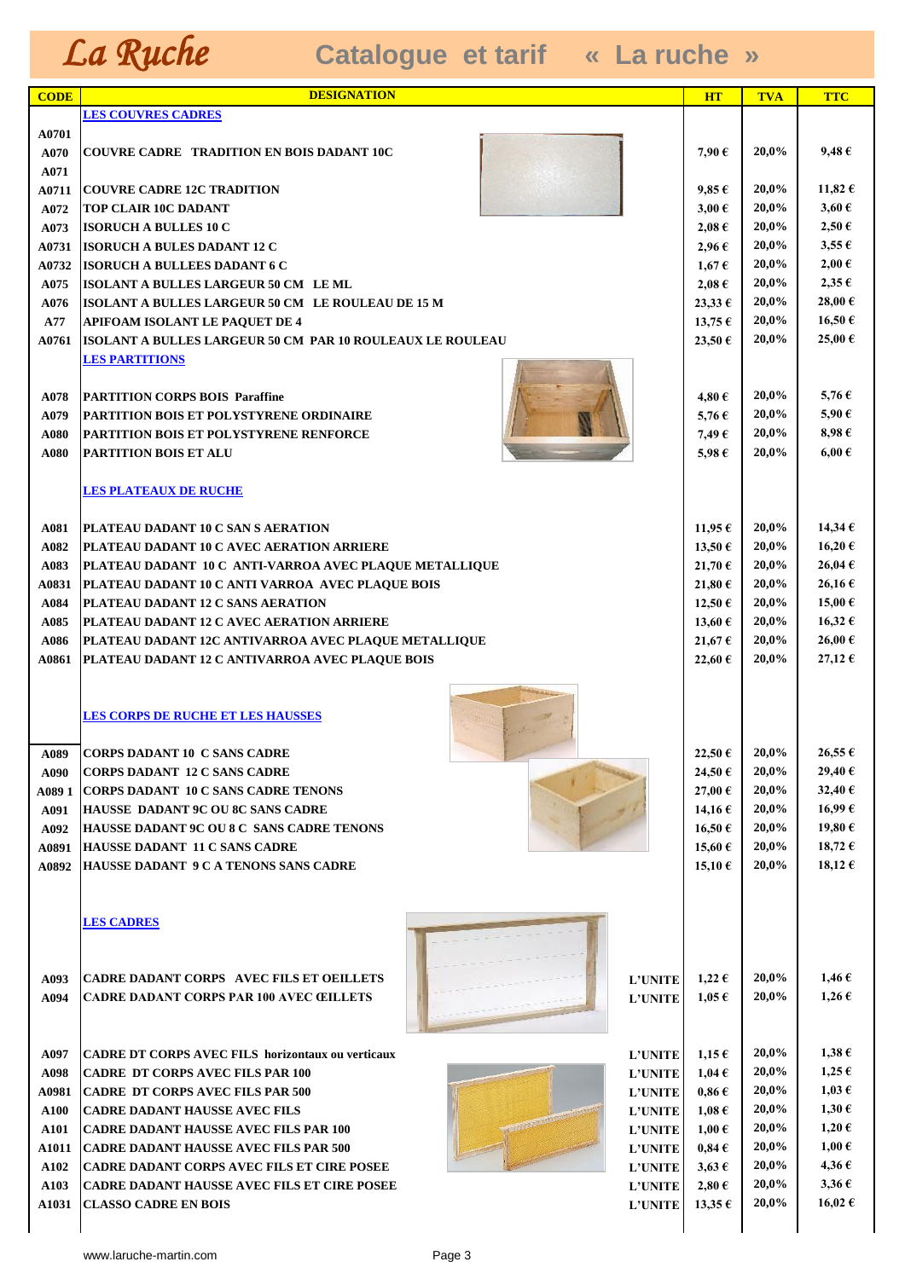| <b>CODE</b> | <b>DESIGNATION</b>                                                            | <b>HT</b>        | <b>TVA</b> | <b>TTC</b>       |
|-------------|-------------------------------------------------------------------------------|------------------|------------|------------------|
|             | <b>LES COUVRES CADRES</b>                                                     |                  |            |                  |
| A0701       |                                                                               |                  |            |                  |
| A070        | <b>COUVRE CADRE TRADITION EN BOIS DADANT 10C</b>                              | 7,90€            | 20,0%      | 9,48 €           |
| A071        |                                                                               |                  |            |                  |
| A0711       | <b>COUVRE CADRE 12C TRADITION</b>                                             | $9,85 \in$       | 20,0%      | 11,82 €          |
| A072        | <b>TOP CLAIR 10C DADANT</b>                                                   | $3,00 \in$       | 20,0%      | $3,60 \in$       |
| A073        | <b>ISORUCH A BULLES 10 C</b>                                                  | $2,08 \in$       | 20,0%      | $2,50 \in$       |
| A0731       | <b>ISORUCH A BULES DADANT 12 C</b>                                            | $2,96 \in$       | 20,0%      | $3,55 \in$       |
| A0732       | <b>ISORUCH A BULLEES DADANT 6 C</b>                                           | $1,67 \in$       | 20,0%      | $2,00 \in$       |
| A075        | ISOLANT A BULLES LARGEUR 50 CM LE ML                                          | $2,08 \in$       | 20,0%      | $2,35 \in$       |
| A076        | ISOLANT A BULLES LARGEUR 50 CM LE ROULEAU DE 15 M                             | $23,33 \in$      | 20,0%      | 28,00€           |
| A77         | <b>APIFOAM ISOLANT LE PAQUET DE 4</b>                                         | 13,75€           | 20,0%      | 16,50€           |
| A0761       | ISOLANT A BULLES LARGEUR 50 CM PAR 10 ROULEAUX LE ROULEAU                     | 23,50€           | 20,0%      | 25,00€           |
|             | <b>LES PARTITIONS</b>                                                         |                  |            |                  |
|             |                                                                               |                  |            |                  |
| A078        | <b>PARTITION CORPS BOIS Paraffine</b>                                         | 4,80€            | 20,0%      | 5,76€            |
| A079        | <b>PARTITION BOIS ET POLYSTYRENE ORDINAIRE</b>                                | 5,76 $\epsilon$  | 20,0%      | 5,90€            |
| A080        | <b>PARTITION BOIS ET POLYSTYRENE RENFORCE</b>                                 | 7,49€            | 20,0%      | 8,98€            |
| A080        | <b>PARTITION BOIS ET ALU</b>                                                  | 5,98€            | 20,0%      | $6,00 \in$       |
|             |                                                                               |                  |            |                  |
|             | <b>LES PLATEAUX DE RUCHE</b>                                                  |                  |            |                  |
|             |                                                                               |                  |            |                  |
| A081        | <b>PLATEAU DADANT 10 C SAN S AERATION</b>                                     | 11,95 $\epsilon$ | 20,0%      | 14,34€           |
| A082        | PLATEAU DADANT 10 C AVEC AERATION ARRIERE                                     | 13,50€           | 20,0%      | 16,20€           |
| A083        | PLATEAU DADANT 10 C ANTI-VARROA AVEC PLAQUE METALLIQUE                        | 21,70 €          | 20,0%      | 26,04€           |
| A0831       | PLATEAU DADANT 10 C ANTI VARROA AVEC PLAQUE BOIS                              | 21,80 €          | 20,0%      | 26,16€           |
| A084        | PLATEAU DADANT 12 C SANS AERATION                                             | 12,50€           | 20,0%      | 15,00€           |
| A085        | PLATEAU DADANT 12 C AVEC AERATION ARRIERE                                     | 13,60 $\epsilon$ | 20,0%      | 16,32€           |
| A086        | PLATEAU DADANT 12C ANTIVARROA AVEC PLAQUE METALLIQUE                          | 21,67 €          | 20,0%      | 26,00€           |
| A0861       | PLATEAU DADANT 12 C ANTIVARROA AVEC PLAQUE BOIS                               | 22,60 €          | 20,0%      | 27,12€           |
|             |                                                                               |                  |            |                  |
|             |                                                                               |                  |            |                  |
|             | <b>LES CORPS DE RUCHE ET LES HAUSSES</b>                                      |                  |            |                  |
|             |                                                                               |                  |            |                  |
| A089        | <b>ICORPS DADANT 10 C SANS CADRE</b>                                          | 22,50€           | 20,0%      | $26,55 \in$      |
| A090        | <b>CORPS DADANT 12 C SANS CADRE</b>                                           | 24,50 €          | 20,0%      | 29,40€           |
| A089 1      | CORPS DADANT 10 C SANS CADRE TENONS                                           | 27,00 €          | 20,0%      | 32,40 $\epsilon$ |
| A091        | <b>HAUSSE DADANT 9C OU 8C SANS CADRE</b>                                      | 14,16 €          | 20,0%      | 16,99€           |
| A092        | <b>HAUSSE DADANT 9C OU 8 C SANS CADRE TENONS</b>                              | 16,50€           | 20,0%      | 19,80 €          |
| A0891       | <b>HAUSSE DADANT 11 C SANS CADRE</b>                                          | 15,60 $\epsilon$ | 20,0%      | 18,72 €          |
| A0892       | <b>HAUSSE DADANT 9 C A TENONS SANS CADRE</b>                                  | $15,10 \in$      | 20,0%      | 18,12 €          |
|             |                                                                               |                  |            |                  |
|             |                                                                               |                  |            |                  |
|             | <b>LES CADRES</b>                                                             |                  |            |                  |
|             |                                                                               |                  |            |                  |
|             |                                                                               |                  |            |                  |
| A093        | <b>CADRE DADANT CORPS AVEC FILS ET OEILLETS</b><br><b>L'UNITE</b>             | $1,22 \in$       | 20,0%      | $1,46 \in$       |
| A094        | <b>CADRE DADANT CORPS PAR 100 AVEC ŒILLETS</b><br><b>L'UNITE</b>              | $1,05 \in$       | 20,0%      | $1,26 \in$       |
|             |                                                                               |                  |            |                  |
|             |                                                                               |                  |            |                  |
| A097        | <b>CADRE DT CORPS AVEC FILS horizontaux ou verticaux</b><br><b>L'UNITE</b>    | $1,15 \in$       | 20,0%      | $1,38 \in$       |
| A098        | <b>CADRE DT CORPS AVEC FILS PAR 100</b><br><b>L'UNITE</b>                     | $1,04 \in$       | 20,0%      | $1,25 \in$       |
| A0981       | <b>CADRE DT CORPS AVEC FILS PAR 500</b><br><b>L'UNITE</b>                     | $0,86 \in$       | 20,0%      | $1,03 \in$       |
| A100        | <b>CADRE DADANT HAUSSE AVEC FILS</b><br><b>L'UNITE</b>                        | $1,08 \in$       | 20,0%      | $1,30 \in$       |
| A101        | <b>CADRE DADANT HAUSSE AVEC FILS PAR 100</b><br><b>L'UNITE</b>                | $1,00 \in$       | 20,0%      | $1,20 \in$       |
| A1011       | <b>CADRE DADANT HAUSSE AVEC FILS PAR 500</b><br>${\bf L}^{\prime}{\bf UNITE}$ | $0,84 \in$       | 20,0%      | $1,00 \in$       |
| A102        | <b>CADRE DADANT CORPS AVEC FILS ET CIRE POSEE</b><br><b>L'UNITE</b>           | $3,63 \in$       | 20,0%      | 4,36€            |
| A103        | <b>CADRE DADANT HAUSSE AVEC FILS ET CIRE POSEE</b><br><b>L'UNITE</b>          | $2,80 \in$       | 20,0%      | $3,36 \in$       |
| A1031       | <b>CLASSO CADRE EN BOIS</b><br><b>L'UNITE</b>                                 | 13,35 $\epsilon$ | 20,0%      | 16,02 €          |
|             |                                                                               |                  |            |                  |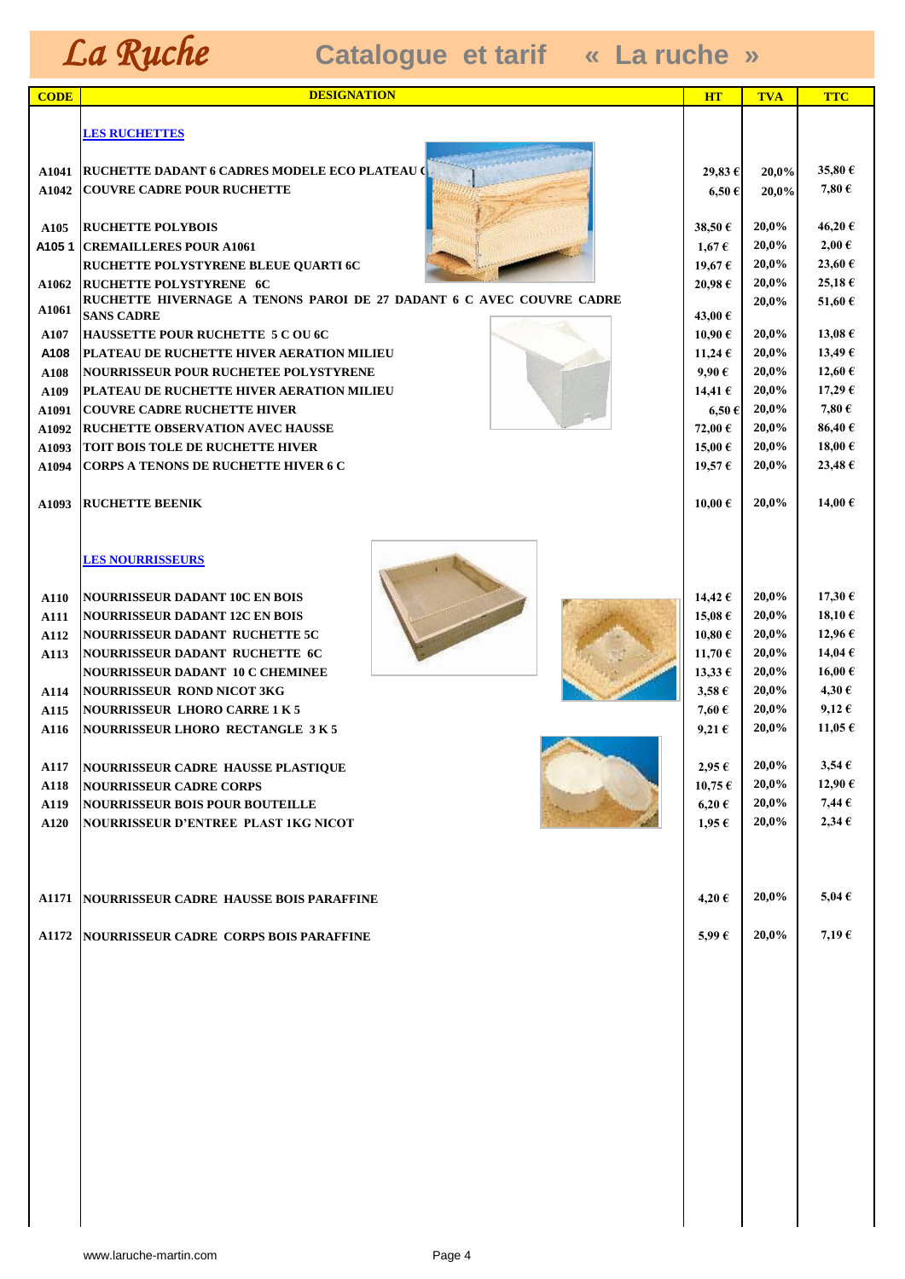| <b>CODE</b>         | <b>DESIGNATION</b>                                                                        | <b>HT</b>                            | <b>TVA</b>     | <b>TTC</b>          |
|---------------------|-------------------------------------------------------------------------------------------|--------------------------------------|----------------|---------------------|
|                     |                                                                                           |                                      |                |                     |
|                     | <b>LES RUCHETTES</b>                                                                      |                                      |                |                     |
|                     |                                                                                           |                                      |                |                     |
|                     | A1041   RUCHETTE DADANT 6 CADRES MODELE ECO PLATEAU (                                     | 29,83 €                              | 20,0%          | 35,80€              |
| A1042               | <b>COUVRE CADRE POUR RUCHETTE</b>                                                         | $6,50 \in$                           | 20,0%          | 7,80€               |
| A <sub>105</sub>    | <b>RUCHETTE POLYBOIS</b>                                                                  | 38,50 €                              | 20,0%          | 46,20€              |
| A1051               | <b>CREMAILLERES POUR A1061</b>                                                            | $1,67 \in$                           | 20,0%          | $2,00 \in$          |
|                     | RUCHETTE POLYSTYRENE BLEUE QUARTI 6C                                                      | 19,67 €                              | 20,0%          | 23,60€              |
| A1062               | <b>RUCHETTE POLYSTYRENE 6C</b>                                                            | 20,98€                               | 20,0%          | 25,18€              |
| A1061               | RUCHETTE HIVERNAGE A TENONS PAROI DE 27 DADANT 6 C AVEC COUVRE CADRE                      |                                      | 20,0%          | 51,60 $\epsilon$    |
|                     | <b>SANS CADRE</b>                                                                         | 43,00 €                              |                |                     |
| A107                | HAUSSETTE POUR RUCHETTE 5 C OU 6C                                                         | 10,90 €                              | 20,0%<br>20,0% | 13,08 €             |
| A108                | PLATEAU DE RUCHETTE HIVER AERATION MILIEU<br><b>NOURRISSEUR POUR RUCHETEE POLYSTYRENE</b> | 11,24 €<br>9,90€                     | 20,0%          | 13,49€<br>12,60 €   |
| A108<br>A109        | PLATEAU DE RUCHETTE HIVER AERATION MILIEU                                                 | 14,41€                               | 20,0%          | 17,29€              |
| A1091               | <b>COUVRE CADRE RUCHETTE HIVER</b>                                                        | $6,50 \in$                           | 20,0%          | 7,80€               |
| A1092               | <b>RUCHETTE OBSERVATION AVEC HAUSSE</b>                                                   | 72,00 €                              | 20,0%          | 86,40€              |
| A1093               | <b>TOIT BOIS TOLE DE RUCHETTE HIVER</b>                                                   | 15,00 €                              | 20,0%          | 18,00€              |
| A1094               | <b>CORPS A TENONS DE RUCHETTE HIVER 6 C</b>                                               | 19,57€                               | 20,0%          | 23,48€              |
|                     |                                                                                           |                                      |                |                     |
| A1093               | <b>RUCHETTE BEENIK</b>                                                                    | 10,00 €                              | 20,0%          | 14,00€              |
|                     |                                                                                           |                                      |                |                     |
|                     |                                                                                           |                                      |                |                     |
|                     | <b>LES NOURRISSEURS</b>                                                                   |                                      |                |                     |
|                     |                                                                                           |                                      | 20,0%          | 17,30€              |
| A110<br>A111        | <b>NOURRISSEUR DADANT 10C EN BOIS</b><br><b>NOURRISSEUR DADANT 12C EN BOIS</b>            | 14,42 $\epsilon$<br>15,08 $\epsilon$ | 20,0%          | 18,10€              |
| A112                | <b>NOURRISSEUR DADANT RUCHETTE 5C</b>                                                     | 10,80 €                              | 20,0%          | 12,96€              |
| A113                | NOURRISSEUR DADANT RUCHETTE 6C                                                            | 11,70 €                              | 20,0%          | 14,04€              |
|                     | <b>NOURRISSEUR DADANT 10 C CHEMINEE</b>                                                   | $13,33 \in$                          | 20,0%          | 16,00€              |
| A114                | <b>NOURRISSEUR ROND NICOT 3KG</b>                                                         | $3,58 \in$                           | 20,0%          | 4,30€               |
| A115                | <b>NOURRISSEUR LHORO CARRE 1 K 5</b>                                                      | 7,60€                                | 20,0%          | $9,12 \in$          |
| A116                | <b>NOURRISSEUR LHORO RECTANGLE 3K5</b>                                                    | 9,21 $\epsilon$                      | 20,0%          | 11,05 $\epsilon$    |
|                     |                                                                                           |                                      |                |                     |
| A117                | NOURRISSEUR CADRE HAUSSE PLASTIQUE                                                        | $2,95 \in$                           | 20,0%          | $3,54 \in$          |
| A118                | <b>NOURRISSEUR CADRE CORPS</b>                                                            | $10,75 \in$                          | 20,0%          | 12,90€              |
| A119<br><b>A120</b> | <b>NOURRISSEUR BOIS POUR BOUTEILLE</b><br><b>NOURRISSEUR D'ENTREE PLAST 1KG NICOT</b>     | $6,20 \in$<br>$1,95 \in$             | 20,0%<br>20,0% | 7,44€<br>$2,34 \in$ |
|                     |                                                                                           |                                      |                |                     |
|                     |                                                                                           |                                      |                |                     |
|                     |                                                                                           |                                      |                |                     |
|                     | <b>A1171 NOURRISSEUR CADRE HAUSSE BOIS PARAFFINE</b>                                      | 4,20€                                | 20,0%          | 5,04 $\epsilon$     |
|                     |                                                                                           |                                      |                |                     |
| A1172               | NOURRISSEUR CADRE CORPS BOIS PARAFFINE                                                    | 5,99€                                | 20,0%          | $7,19 \in$          |
|                     |                                                                                           |                                      |                |                     |
|                     |                                                                                           |                                      |                |                     |
|                     |                                                                                           |                                      |                |                     |
|                     |                                                                                           |                                      |                |                     |
|                     |                                                                                           |                                      |                |                     |
|                     |                                                                                           |                                      |                |                     |
|                     |                                                                                           |                                      |                |                     |
|                     |                                                                                           |                                      |                |                     |
|                     |                                                                                           |                                      |                |                     |
|                     |                                                                                           |                                      |                |                     |
|                     |                                                                                           |                                      |                |                     |
|                     |                                                                                           |                                      |                |                     |
|                     |                                                                                           |                                      |                |                     |
|                     |                                                                                           |                                      |                |                     |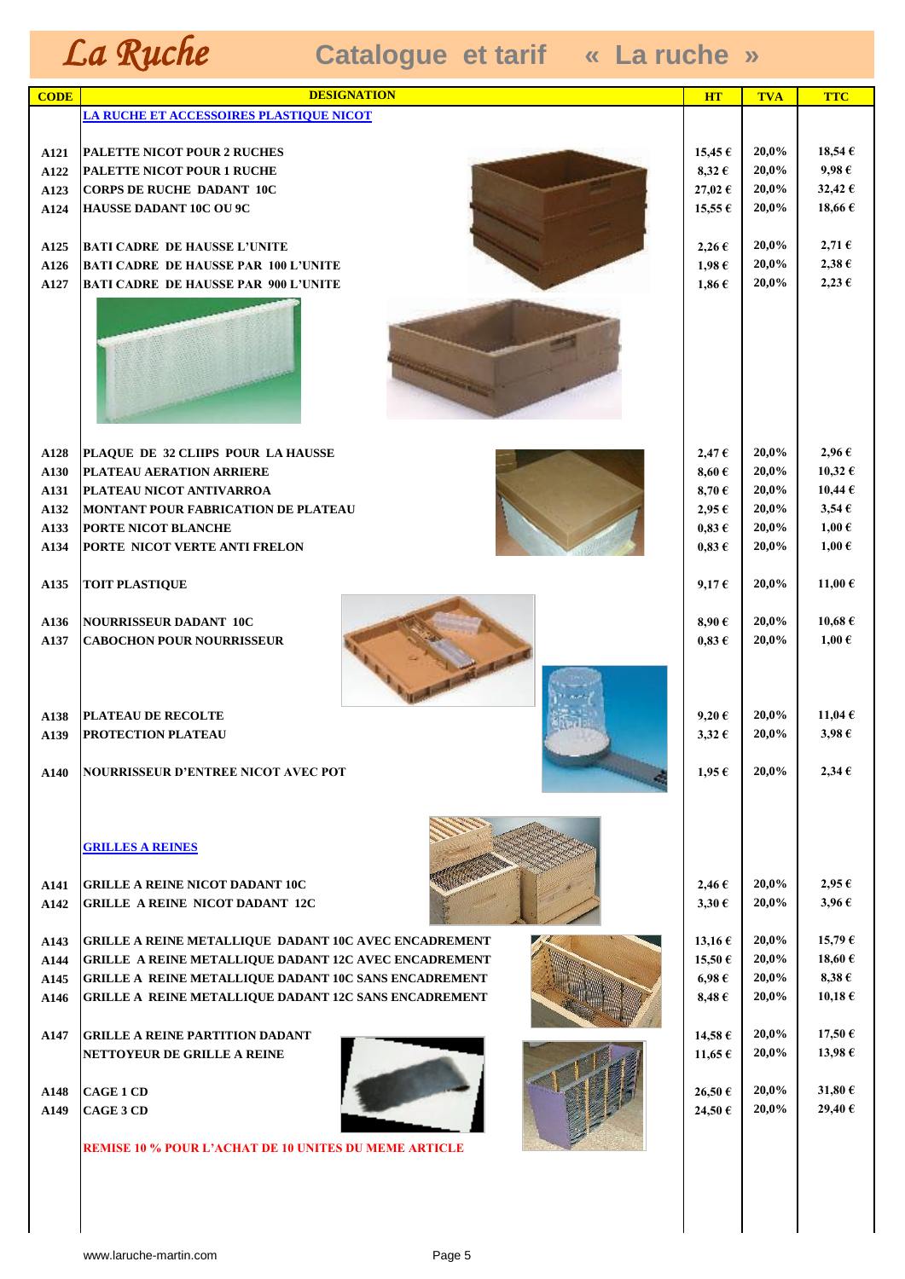| <b>CODE</b>          | <b>DESIGNATION</b>                                                                     | <b>HT</b>                              | <b>TVA</b>              | <b>TTC</b>                                   |
|----------------------|----------------------------------------------------------------------------------------|----------------------------------------|-------------------------|----------------------------------------------|
|                      | <u>LA RUCHE ET ACCESSOIRES PLASTIQUE NICOT</u>                                         |                                        |                         |                                              |
|                      |                                                                                        |                                        |                         |                                              |
| <b>A121</b>          | <b>PALETTE NICOT POUR 2 RUCHES</b>                                                     | 15,45 $\epsilon$                       | 20,0%                   | 18,54€                                       |
| A122                 | PALETTE NICOT POUR 1 RUCHE                                                             | $8,32 \in$                             | 20,0%                   | $9,98 \in$                                   |
| A123                 | <b>CORPS DE RUCHE DADANT 10C</b>                                                       | 27,02€                                 | 20,0%                   | 32,42€                                       |
| A124                 | HAUSSE DADANT 10C OU 9C                                                                | $15,55 \in$                            | 20,0%                   | 18,66 $\epsilon$                             |
| A125                 | <b>BATI CADRE DE HAUSSE L'UNITE</b>                                                    | $2,26 \in$                             | 20,0%                   | $2,71 \in$                                   |
| A126                 | <b>BATI CADRE DE HAUSSE PAR 100 L'UNITE</b>                                            | $1,98 \in$                             | 20,0%                   | $2,38 \in$                                   |
| A127                 | <b>BATI CADRE DE HAUSSE PAR 900 L'UNITE</b>                                            | $1,86 \in$                             | 20,0%                   | $2,23 \in$                                   |
|                      |                                                                                        |                                        |                         |                                              |
| A128                 | PLAQUE DE 32 CLIIPS POUR LA HAUSSE                                                     | $2,47 \in$                             | 20,0%                   | $2,96 \in$                                   |
| A130                 | PLATEAU AERATION ARRIERE                                                               | 8,60 $\epsilon$                        | 20,0%                   | 10,32 €                                      |
| A131                 | PLATEAU NICOT ANTIVARROA                                                               | $8,70 \in$                             | 20,0%                   | $10,44 \in$                                  |
| A132                 | <b>MONTANT POUR FABRICATION DE PLATEAU</b>                                             | $2,95 \in$                             | 20,0%                   | $3,54 \in$                                   |
| A133                 | PORTE NICOT BLANCHE<br>PORTE NICOT VERTE ANTI FRELON                                   | $0,83 \in$                             | 20,0%<br>20,0%          | $1,00 \in$<br>$1,00 \in$                     |
| A134                 |                                                                                        | $0,83 \in$                             |                         |                                              |
| A135                 | <b>TOIT PLASTIQUE</b>                                                                  | $9,17 \in$                             | 20,0%                   | 11,00 €                                      |
| A136<br>A137         | <b>NOURRISSEUR DADANT 10C</b><br><b>CABOCHON POUR NOURRISSEUR</b>                      | $8,90 \in$<br>$0.83 \in$               | 20,0%<br>20,0%          | $10,68 \in$<br>$1,00 \in$                    |
| A138<br>A139<br>A140 | PLATEAU DE RECOLTE<br>PROTECTION PLATEAU<br><b>NOURRISSEUR D'ENTREE NICOT AVEC POT</b> | $9,20 \in$<br>$3,32 \in$<br>$1,95 \in$ | 20,0%<br>20,0%<br>20,0% | 11,04 $\epsilon$<br>$3,98 \in$<br>$2,34 \in$ |
|                      | <b>GRILLES A REINES</b>                                                                |                                        |                         |                                              |
| A141<br>A142         | <b>GRILLE A REINE NICOT DADANT 10C</b><br><b>GRILLE A REINE NICOT DADANT 12C</b>       | $2,46 \in$<br>$3,30 \in$               | 20,0%<br>20,0%          | $2,95 \in$<br>$3,96 \in$                     |
|                      |                                                                                        |                                        |                         |                                              |
| A143                 | GRILLE A REINE METALLIQUE DADANT 10C AVEC ENCADREMENT                                  | 13,16 €                                | 20,0%                   | 15,79€                                       |
| A144                 | GRILLE A REINE METALLIQUE DADANT 12C AVEC ENCADREMENT                                  | 15,50€                                 | 20,0%                   | 18,60 $\epsilon$                             |
| A145                 | GRILLE A REINE METALLIQUE DADANT 10C SANS ENCADREMENT                                  | $6,98 \in$                             | 20,0%                   | $8,38 \in$                                   |
| A146                 | GRILLE A REINE METALLIQUE DADANT 12C SANS ENCADREMENT                                  | $8,48 \in$                             | 20,0%                   | $10,18 \in$                                  |
|                      |                                                                                        |                                        | 20,0%                   |                                              |
| A147                 | <b>GRILLE A REINE PARTITION DADANT</b><br>NETTOYEUR DE GRILLE A REINE                  | 14,58€<br>11,65€                       | 20,0%                   | $17,50 \in$<br>13,98€                        |
|                      |                                                                                        |                                        |                         |                                              |
| A148                 | <b>CAGE 1 CD</b>                                                                       | 26,50€                                 | 20,0%                   | 31,80€                                       |
| A149                 | CAGE 3 CD                                                                              | 24,50€                                 | 20,0%                   | 29,40€                                       |
|                      |                                                                                        |                                        |                         |                                              |
|                      | <b>REMISE 10 % POUR L'ACHAT DE 10 UNITES DU MEME ARTICLE</b>                           |                                        |                         |                                              |
|                      |                                                                                        |                                        |                         |                                              |
|                      |                                                                                        |                                        |                         |                                              |
|                      |                                                                                        |                                        |                         |                                              |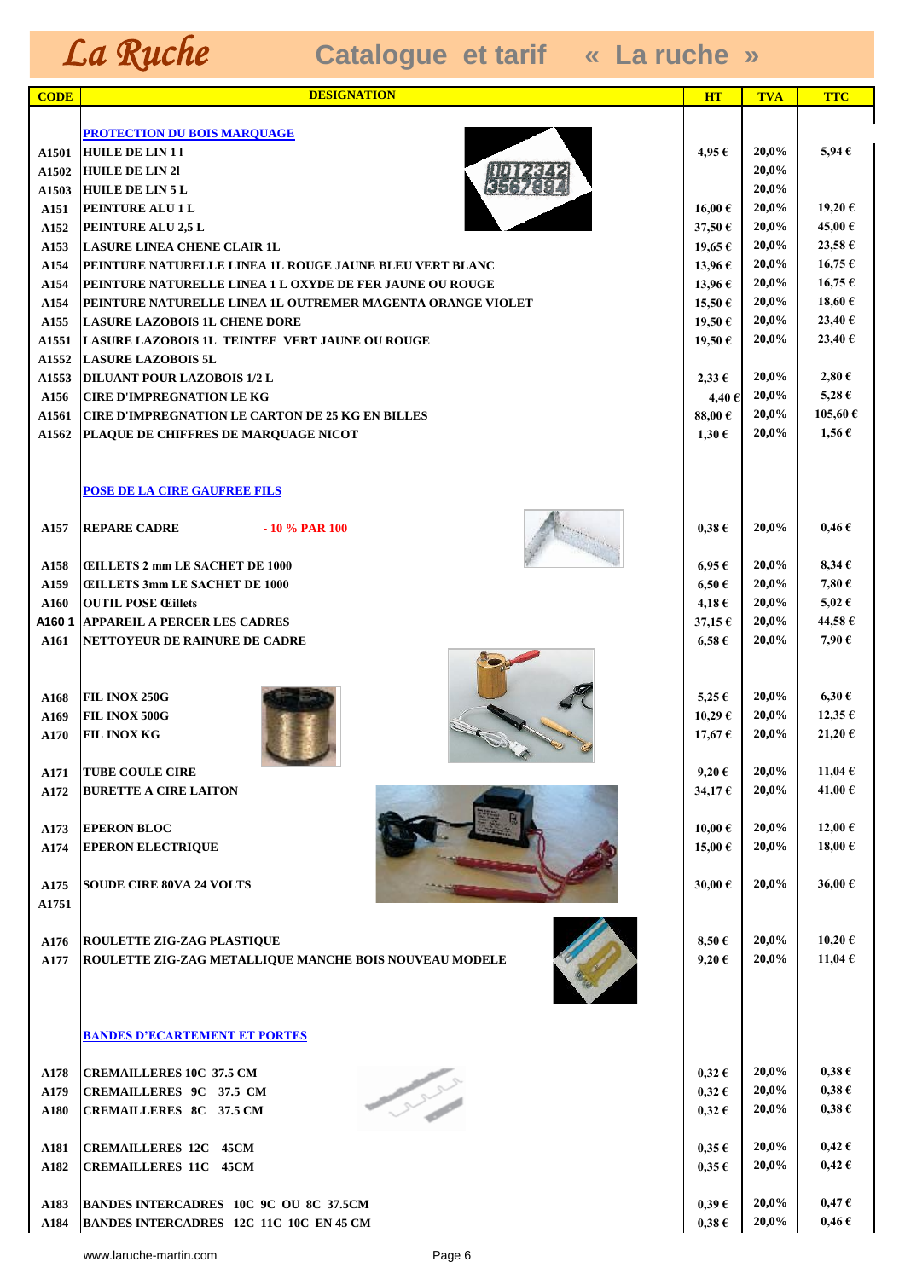| <b>CODE</b>   | <b>DESIGNATION</b>                                                     | <b>HT</b>                | <b>TVA</b>     | <b>TTC</b>          |
|---------------|------------------------------------------------------------------------|--------------------------|----------------|---------------------|
|               |                                                                        |                          |                |                     |
|               | PROTECTION DU BOIS MARQUAGE                                            |                          |                |                     |
| A1501         | <b>HULE DE LIN11</b>                                                   | 4,95 €                   | 20,0%          | $5.94 \in$          |
| A1502         | <b>HUILE DE LIN 21</b><br><b>HUILE DE LIN 5 L</b>                      |                          | 20,0%<br>20,0% |                     |
| A1503<br>A151 | PEINTURE ALU 1 L                                                       | 16,00€                   | 20,0%          | 19,20€              |
| A152          | PEINTURE ALU 2,5 L                                                     | 37,50€                   | 20,0%          | 45,00€              |
| A153          | <b>LASURE LINEA CHENE CLAIR 1L</b>                                     | 19,65 $\epsilon$         | 20,0%          | 23,58€              |
| A154          | PEINTURE NATURELLE LINEA 1L ROUGE JAUNE BLEU VERT BLANC                | 13,96 $\epsilon$         | 20,0%          | 16,75€              |
| A154          | PEINTURE NATURELLE LINEA 1 L OXYDE DE FER JAUNE OU ROUGE               | 13,96€                   | 20,0%          | $16,75 \in$         |
| A154          | PEINTURE NATURELLE LINEA 1L OUTREMER MAGENTA ORANGE VIOLET             | 15,50€                   | 20,0%          | 18,60€              |
| A155          | <b>LASURE LAZOBOIS 1L CHENE DORE</b>                                   | 19,50 €                  | 20,0%          | 23,40 €             |
| A1551         | LASURE LAZOBOIS 1L TEINTEE VERT JAUNE OU ROUGE                         | 19,50€                   | 20,0%          | 23,40 €             |
| A1552         | <b>LASURE LAZOBOIS 5L</b>                                              |                          |                | $2,80 \in$          |
| A1553<br>A156 | <b>DILUANT POUR LAZOBOIS 1/2 L</b><br><b>CIRE D'IMPREGNATION LE KG</b> | $2,33 \in$               | 20,0%<br>20,0% | 5,28 $\epsilon$     |
| A1561         | <b>CIRE D'IMPREGNATION LE CARTON DE 25 KG EN BILLES</b>                | 4,40€<br>88,00 $\in$     | 20,0%          | 105,60 €            |
| A1562         | PLAQUE DE CHIFFRES DE MARQUAGE NICOT                                   | $1,30 \in$               | 20,0%          | $1,56 \in$          |
|               |                                                                        |                          |                |                     |
|               |                                                                        |                          |                |                     |
|               | <b>POSE DE LA CIRE GAUFREE FILS</b>                                    |                          |                |                     |
|               |                                                                        |                          |                |                     |
| A157          | <b>REPARE CADRE</b><br>$-10\%$ PAR 100                                 | $0,38 \in$               | 20,0%          | $0,46 \in$          |
|               |                                                                        |                          |                |                     |
| A158          | <b>CEILLETS 2 mm LE SACHET DE 1000</b>                                 | $6.95\in$                | 20,0%          | $8,34 \in$          |
| A159<br>A160  | <b>CEILLETS 3mm LE SACHET DE 1000</b><br><b>OUTIL POSE Œillets</b>     | $6,50 \in$<br>$4,18 \in$ | 20,0%<br>20,0% | 7,80€<br>$5,02 \in$ |
| A1601         | <b>APPAREIL A PERCER LES CADRES</b>                                    | 37,15€                   | 20,0%          | 44,58€              |
| A161          | <b>NETTOYEUR DE RAINURE DE CADRE</b>                                   | $6,58 \in$               | 20,0%          | 7,90€               |
|               |                                                                        |                          |                |                     |
|               |                                                                        |                          |                |                     |
| A168          | FIL INOX 250G                                                          | $5,25 \in$               | 20,0%          | $6,30 \in$          |
| A169          | FIL INOX 500G                                                          | 10,29 $\epsilon$         | 20,0%          | 12,35€              |
| A170          | <b>FIL INOX KG</b>                                                     | 17,67€                   | 20,0%          | 21,20€              |
|               |                                                                        |                          |                |                     |
| A171          | <b>TUBE COULE CIRE</b>                                                 | $9,20 \in$               | 20,0%          | 11,04€              |
| A172          | <b>BURETTE A CIRE LAITON</b>                                           | 34,17€                   | 20,0%          | 41,00€              |
| A173          | <b>EPERON BLOC</b>                                                     | 10,00 €                  | 20,0%          | 12,00 €             |
| A174          | <b>EPERON ELECTRIQUE</b>                                               | 15,00€                   | 20,0%          | 18,00€              |
|               |                                                                        |                          |                |                     |
| A175          | <b>SOUDE CIRE 80VA 24 VOLTS</b>                                        | 30,00€                   | 20,0%          | 36,00€              |
| A1751         |                                                                        |                          |                |                     |
|               |                                                                        |                          |                |                     |
| A176          | <b>ROULETTE ZIG-ZAG PLASTIQUE</b>                                      | $8,50 \in$               | 20,0%          | 10,20€              |
| A177          | ROULETTE ZIG-ZAG METALLIQUE MANCHE BOIS NOUVEAU MODELE                 | $9,20 \in$               | 20,0%          | 11,04€              |
|               |                                                                        |                          |                |                     |
|               |                                                                        |                          |                |                     |
|               | <b>BANDES D'ECARTEMENT ET PORTES</b>                                   |                          |                |                     |
|               |                                                                        |                          |                |                     |
| A178          | <b>CREMAILLERES 10C 37.5 CM</b>                                        | $0,32 \in$               | 20,0%          | $0,38 \in$          |
| A179          | <b>CREMAILLERES 9C 37.5 CM</b>                                         | $0,32 \in$               | 20,0%          | $0,38 \in$          |
| A180          | <b>CREMAILLERES 8C 37.5 CM</b>                                         | $0,32 \in$               | 20,0%          | $0,38 \in$          |
|               |                                                                        |                          |                |                     |
| A181          | <b>CREMAILLERES 12C 45CM</b>                                           | $0,35 \in$               | 20,0%          | $0,42 \in$          |
| A182          | <b>CREMAILLERES 11C 45CM</b>                                           | $0,35 \in$               | 20,0%          | $0,42 \in$          |
| A183          | <b>BANDES INTERCADRES 10C 9C OU 8C 37.5CM</b>                          | $0,39 \in$               | 20,0%          | $0,47 \in$          |
| A184          | <b>BANDES INTERCADRES 12C 11C 10C EN 45 CM</b>                         | $0,38 \in$               | 20,0%          | $0,46 \in$          |
|               |                                                                        |                          |                |                     |